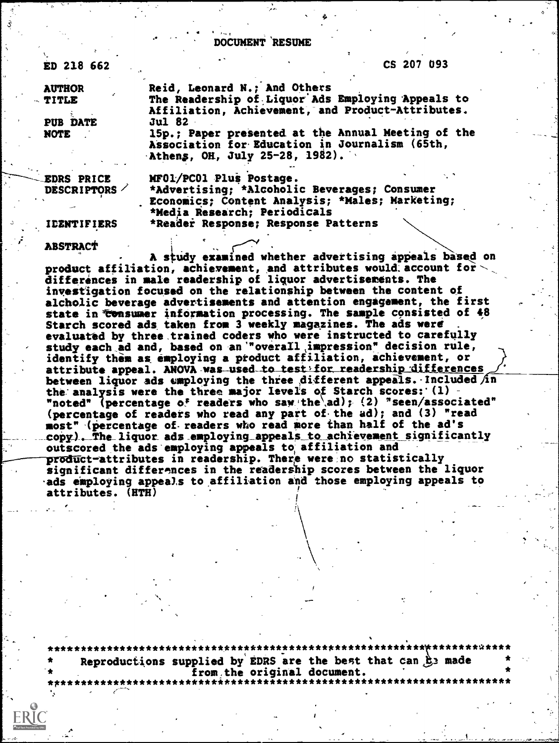DOCUMENT 'RESUME

ED 218 662 CS 207 093

PUB DATE<br>NOTE

AUTHOR Reid, Leonard N.; And Others<br>TITLE The Readership of Liquor Ads The Readership of Liquor Ads Employing Appeals to Affiliation, Achievement, and Product-Attributes.<br>Jul 82 . 15p.; Paper presented at the Annual Meeting of the

Association for Education in Journalism (65th, Atheng, OH, July 25-28, 1982). '

EDRS PRICE MF01/PC01 Plus Postage.<br>DESCRIPTORS / \*Advertising: \*Alcoholi \*Advertising; \*Alcoholic Beverages; Consumer Economics; Content Analysis; \*Males; Marketing; \*Media Research; Periodicals IDENTIFIERS \*Reader Response; Response Patterns

ABSTRACT<br>A study examined whether advertising appeals based on<br>product affiliation, achievement, and attributes would account for differences in male readership of liquor advertisements. The investigation focused on the relationship between the content of alcholic beverage advertisements and attention engagement, the first state in Consumer information processing. The sample consisted of 48 Starch scored ads taken from 3 weekly magazines. The ads were evaluated by three.trained coders who were instructed to carefully study each ad and, based on an "overall impression" decision rule, identify them as employing a product affiliation, achievement, or attribute appeal. ANOVA was used to test for readership differences between liquor ads employing the three different appeals. Included  $\hat{\Lambda}$ n the analysis were the three major levels of Starch scores:  $(1)$ "noted" (percentage of readers who saw the ad); (2) "seen/associated" (percentage of readers who read any part of.the ad); and (3) "read most" (percentage of-readers who read more than half of the ad's copy). The liquor ads employing appeals to achievement significantly outscored the ads employing appeals to affiliation and product-attributes in readership. There were no statistically significant differences in the readership scores between the liquor -ads employing appeals to affiliation and those employing appeals to attributes. (8TH)

\*\*\*\*\*\*\*\*\*\*\*\*\*\*\* Reproductions supplied by EDRS are the best that can  $\hat{E}$  made from the original document. \*\*\*\*\*\*\*\*\*\*\*\*\*\*\*\*\*\*\*\*\*\*\*\*\*\*\*\*\*\*\*\*\*\*\*\*\*\*\*\*\*\*\*\*\*\*\*\*\*\*\*\*\*\*\*\*\*\*\*\*\*\*\*\*\*\*\*\*\*\*\*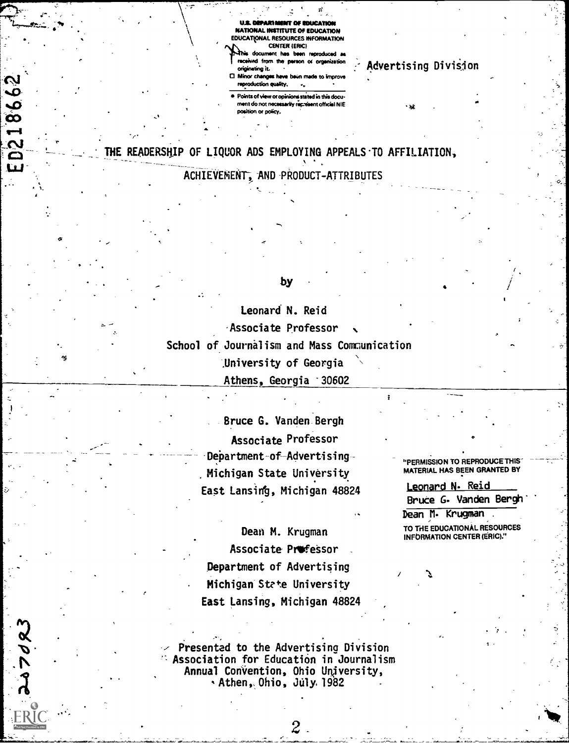

CI Minor changes have been made to improv reproduction quality.  $\mathcal{A}_n$ 

Points of view or opinions stated in this document do not necessarily represent official NIE position or policy.

THE READERSHIP OF LIQUOR ADS EMPLOYING APPEALS TO AFFILIATION,

ED218662

20702

ERIC

ACHIEVEMENT, AND PRODUCT-ATTRIBUTES

### bу

Leonard N. Reid Associate Professor School of Journalism and Mass Communication University of Georgia Athens, Georgia 30602

> Bruce G. Vanden Bergh Associate Professor Department-of-Advertising-Michigan State University East Lansing, Michigan 48824

Dean M. Krugman Associate Professor Department of Advertising Michigan State University East Lansing, Michigan 48824

Presented to the Advertising Division <sup>25</sup> Association for Education in Journalism Annual Convention, Ohio University, Athen, Ohio, July 1982

"PERMISSION TO REPRODUCE THIS MATERIAL HAS BEEN GRANTED BY

Advertising Division

<u> Leonard N. Reid</u> Bruce G. Vanden Bergh

Dean M. Krugman TO THE EDUCATIONAL RESOURCES INFORMATION CENTER (ERIC)."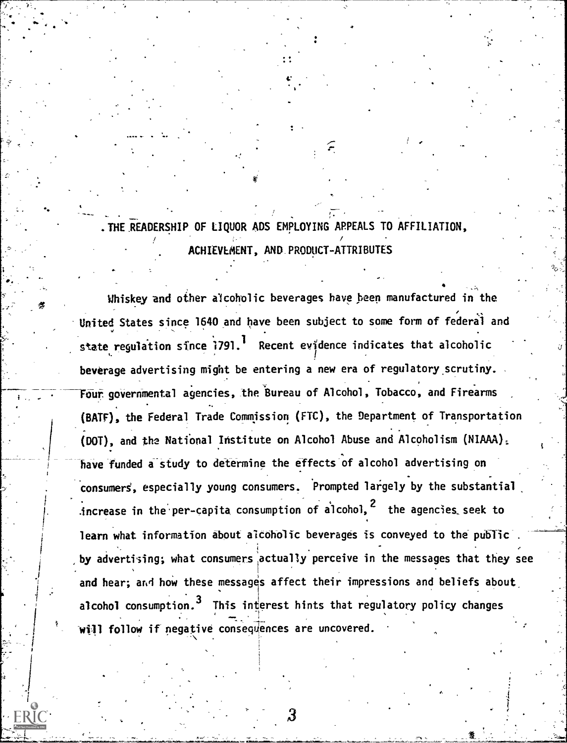.THE.READERSHIP OF LIQUOR ADS EMPLOYING APPEALS TO AFFILIATION,  $\ell$  , the contract of the contract of the contract of the contract of the contract of the contract of the contract of the contract of the contract of the contract of the contract of the contract of the contract of the co . ACHIEVEMENT, AND\_PROWCT-ATTRIBUTES

 $\omega$  . As a set of  $\omega$ 

Whiskey and other alcoholic beverages have peen manufactured in the United States since 1640 and have been subject to some form of federal and state regulation since 1791. Recent evidence indicates that alcoholic beverage advertising might be entering a new era of regulatory scrutiny. Four governmental agencies, the Bureau of Alcohol, Tobacco, and Firearms (BATE'), the Federal Trade Commission (FTC), the Department of Transportation (DOT), and the National Institute on Alcohol Abuse and Alcoholism (NIAAA), have funded a study to determine the effects of alcohol advertising on consumers, especially young consumers. Prompted largely by the substantial increase in the per-capita consumption of alcohol,  $^2$  the agencies seek to learn what information about alcoholic beverages is conveyed to the public by advertising; what consumers actually perceive in the messages that they see and hear; and how these messages affect their impressions and beliefs about alcohol consumption.<sup>3</sup> This interest hints that regulatory policy changes will follow if negative consequences are uncovered.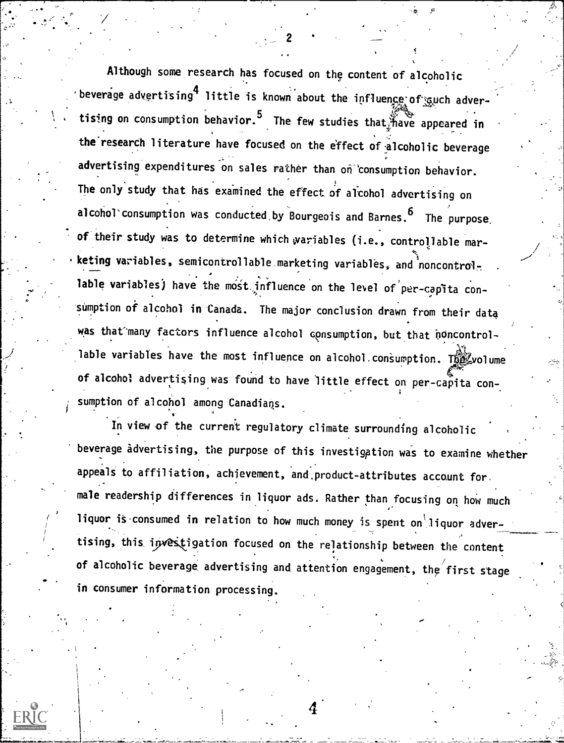Although some research has focused on the content of alcoholic beverage advertising<sup>4</sup> little is known about the influence of guch advertising on consumption behavior.  $^{\circ}$  The few studies that  $\bigstar$  ave appeared in the research literature have focused on the effect of alcoholic beverage advertising expenditures on sales rather than on consumption behavior. The only study that has examined the effect of alcohol advertising on alcohol`consumption was conducted by Bourgeois and Barnes.<sup>6</sup> The purpose was also and all the solonion of the purpose of the solonion was equal to a solonion was equal to a solonion was equal to a solonion was equal to a of their study was to determine which wariables (i.e., controllable marketing variables, semicontrollable marketing variables, and noncontrollable variables) have the most influence on the level of per-capita consumption of alcohol in Canada. The major conclusion drawn from their data was that many factors influence alcohol consumption, but that noncontrol-, lable variables have the most influence on alcohol, consumption. The volume or alcohol advertising was found to have little effect on per-capita consumption of alcohol among Canadians.

In view of the current regulatory climate surrounding alcoholic beverage advertising, the purpose of this investigation was to examine whether appeals to affiliation, achievement, and product-attributes account for. male readership differences in liquor ads. Rather than focusing on how much liquor is consumed in relation to how much money is spent on liquor advertising, this investigation focused on the relationship between the content of alcoholic beverage advertising and attention engagement, the first stage in consumer information processing.

 $\boldsymbol{4}$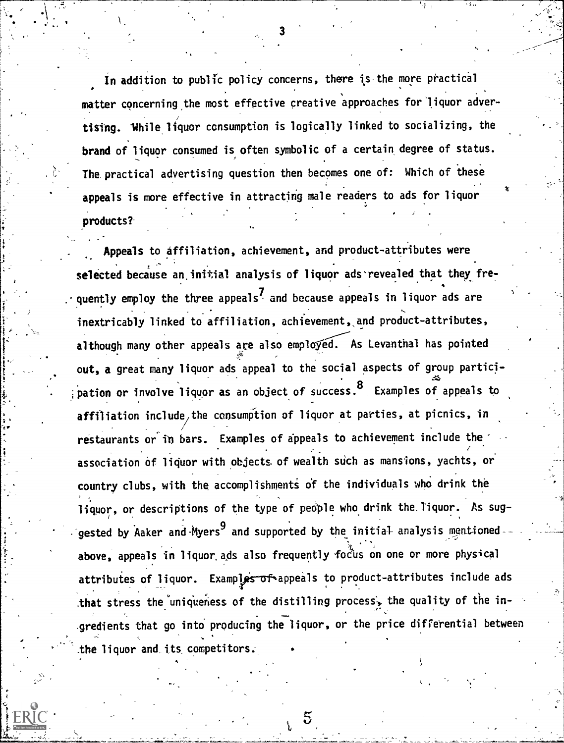In addition to public policy concerns, there is the more practical matter concerning the most effective creative approaches for liquor advertising. While liquor consumption is logically linked to socializing, the brand of liquor consumed is often symbolic of a certain degree of status. The practical advertising question then becomes one of: Which of these appeals is more effective in attracting male readers to ads for liquor products?.

Appeals to affiliation, achievement, and product-attributes were selected because an initial analysis of liquor ads'revealed that they freouently employ the three appeals<sup>7</sup> and because appeals in liquor ads are inextricably linked to affiliation, achievement, and product-attributes, although many other appeals are also employed. As Levanthal has pointed out, a great many liquor ads appeal to the social aspects of group partici-; pation or involve liquor as an object of success.  $^{\text{8}}$  Examples of appeals to affiliation include, the consumption of liquor at parties, at picnics, in  $\sqrt{2}$  and  $\sqrt{2}$ restaurants or in bars. Examples of appeals to achievement include the' association of liquor with objects of wealth such as mansions, yachts, or country clubs, with the accomplishmenti of the individuals who drink the liquor, or descriptions of the type of people who drink the liquor. As suggested by Aaker and Myers<sup>9</sup> and supported by the initial analysis mentionedabove, appeals in liquor ads also frequently focus on one or more physical attributes of liquor. Examples of appeals to product-attributes include ads .that stress the uniqueness of the distilling process, the quality of the in-,gredients that go into producing the liquor, or the price differential between  $\sim$  , and the set of  $\sim$ the liquor and, its competitors.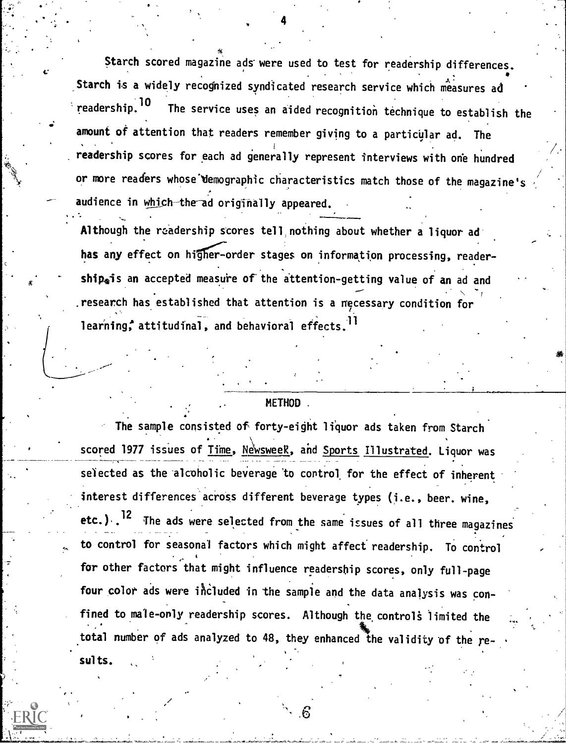Starch scored magazine ads' were used to test for readership differences. Starch is a widely recognized syndicated research service which measures ad readership. <sup>10</sup> The service uses an aided recognition technique to establish the amount of attention that readers remember giving to a particular ad. The readership scores for each ad generally represent interviews with one hundred or more readers whose demographic characteristics match those of the magazine's audience in which the-ad originally appeared.

4:

Although the readership scores tell nothing about whether a liquor ad has any effect on higher-order stages on information processing, readership<sub>s</sub>is an accepted measure of the attention-getting value of an ad and the state of  $\sim$ research has established that attention is a necessary condition for learning, attitudinal, and behavioral effects.<sup>11</sup>

## METHOD .

The sample consisted of forty-eight liquor ads taken from Starch scored 1977 issues of Time, NewsweeR, and Sports Illustrated. Liquor was selected as the alcoholic beverage to control for the effect of inherent interest differences across different beverage types (i.e., beer. wine, etc.).  $^{12}$ 12 The ads were selected from the same issues of all three magazines  $\overline{\mathcal{E}}_1$  . The set of  $\mathcal{E}_2$ to control for seasonal factors which might affect readership. To control for other factors that might influence readership scores, only full-page four color ads were included in the sample and the data analysis was confined to male-only readership scores. Although the controls limited the total number of ads analyzed to 48, they enhanced 'the validity of the results.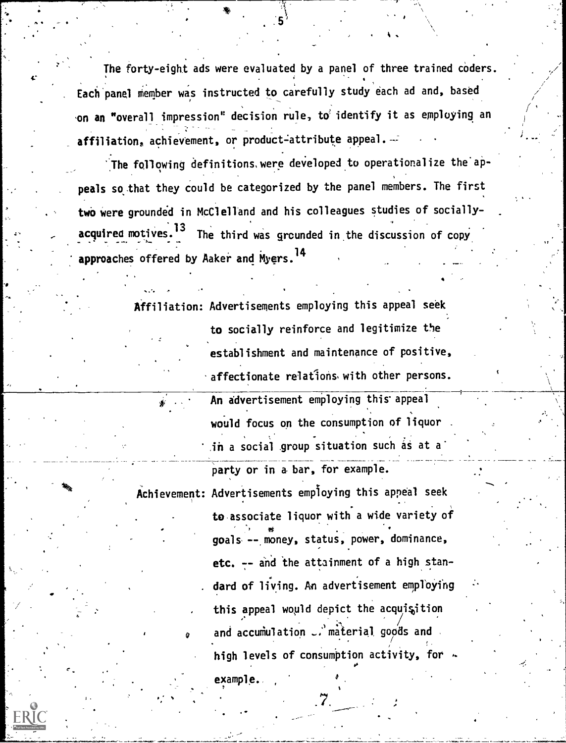The forty-eight ads were evaluated by a panel of three trained coders. Each panel member was instructed to carefully study each ad and, based on an "overall impression" decision rule, to'identify it as employing an affiliation, achievement, or product-attribute appeal.

 $\mathcal{L} = \mathcal{L}$ 

The following definitions were developed to operationalize the appeals so that they could be categorized by the panel members. The first two were grounded in McClelland and his colleagues studies of sociallyacquired motives. <sup>13</sup> The third was grounded in the discussion of copy approaches offered by Aaker and Myers.<sup>14</sup>

> Affiliation: Advertisements employing this appeal seek to socially reinforce and legitimize the establishment and maintenance of positive, affectionate relations with other persons. An advertisement employing this appeal would focus on the consumption of liquor in a social group situation such as at a party or in a bar, for example.

Achievement: Advertisements employing this appeal seek to associate liquor with a wide variety of station and the contract of the contract of the contract of the contract of the contract of the contract of th<br>Separate contract of the contract of the contract of the contract of the contract of the contract of the contra goals --,money, status, power, dominance, etc. -- and the attainment of a high sten dard of living. An advertisement employing this appeal would depict the acquisition  $\frac{1}{2}$  . and accumulation  $\cup$ , material goods and high levels of consumption activity, for  $\sim$  $\mathbf{a}$  and  $\mathbf{a}$ example..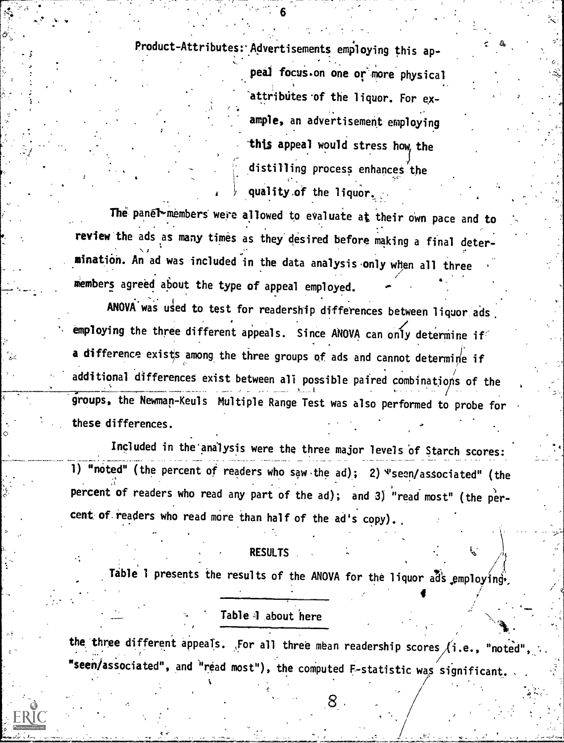Product-Attributes: Advertisements employing this ap-**March 200** peal focus.on one or more physical attributes of the liquor. For ex-, ample, an advertisement employing this appeal would stress how, the distilling process enhances the quality of the liquor.

 $\mathbf{a}$  ,  $\mathbf{a}$  ,  $\mathbf{a}$  ,  $\mathbf{a}$ 

The panel-members were allowed to evaluate at their own pace and to review the ads as many times as they desired before making a final deter mination. An ad was included in the data analysis only when all three members agreed about the type of appeal employed.

ANOVA was used to test for readership differences between liquor ads employing the three different appeals. Since ANOVA can only determine if a difference exists among the three groups of ads and cannot determine if additional differences exist between all possible paired combinations of the  $\mathbf{A}$  and  $\mathbf{A}$  is a set of the set of the set of the set of the set of the set of the set of the set of the set of the set of the set of the set of the set of the set of the set of the set of the set of the set of groups, the Newmap-Keuls Multiple Range Test was also performed to probe for , these differences.

Included in the analysis were the three major levels of Starch scores: 1) "noted" (the percent of readers who saw the ad); 2) "seen/associated" (the percent of readers who read any part of the ad); and 3) "read most" (the percent of readers who read more than half of the ad's copy).

# RESULTS in the contract of  $\mathcal{A}_1$

Table 1 presents the results of the ANOVA for the liquor ads employing.

4

## Table 1 about here

the three different appeals. For all three mean readership scores  $\chi$  i.e., "noted" "seen/associated", and "read most"), the computed F-statistic was significant.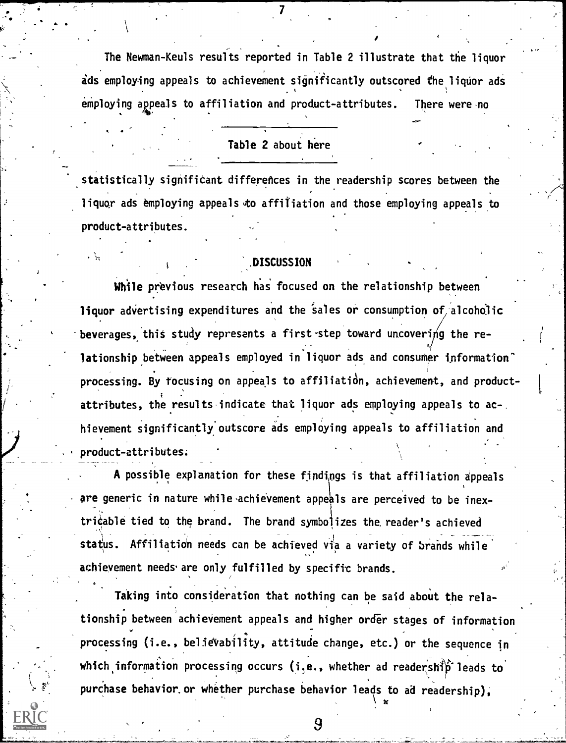The Newman-Keuls results reported in Table 2 illustrate that the liquor ads employing appeals to achievement significantly outscored the liquor ads employing appeals to affiliation and product-attributes. There were no

# Table 2 about here

&

statistically significant differences in the readership scores between the liquor ads employing appeals to affiliation and those employing appeals to product-attributes.

## **DISCUSSION**

While previous research has focused on the relationship between liquor advertising expenditures and the sales or consumption of alcoholic beverages, this study represents a first-step toward uncovering the relationship between appeals employed in liquor ads and consumer information" processing. By focusing on appeals to affiliatidn, achievement, and productattributes, the results indicate that liquor ads employing appeals to ac-  $\sim$ hievement significantly outscore ads employing appeals to affiliation and product-attributes;

A possible explanation for these findings is that affiliation appeals are generic in nature while achievement appeals are perceived to be inextricable tied to the brand. The brand symbolizes the reader's achieved status. Affiliation needs can be achieved via a variety of brands while achievement needs' are only fulfilled by specific brands.

Taking into consideration that nothing can be said about the relationship between achievement appeals and higher order stages of information processing (i.e., believability, attitude change, etc.) or the sequence in which information processing occurs (i.e., whether ad readership leads to purchase behavior. or whether purchase behavior leads to ad readership),

9

 $\sqrt{2}$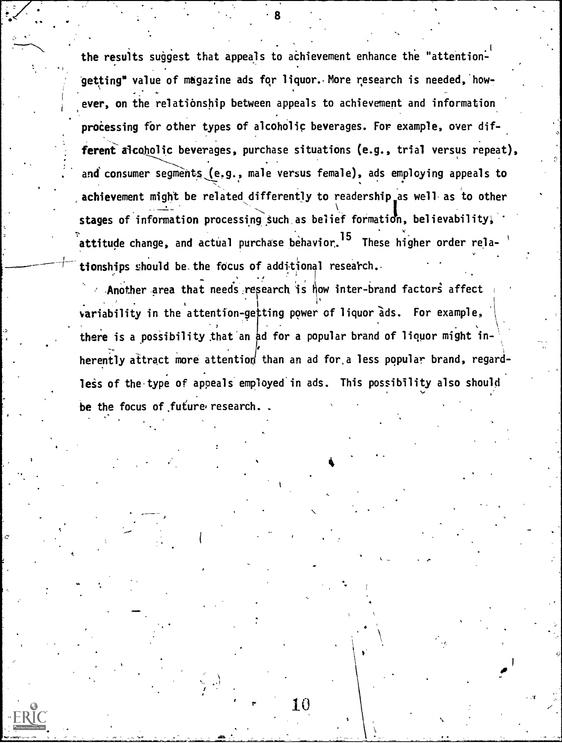the results suggest that appeals to achievement enhance the "attentionaetting" value of magazine ads for liquor. More research is needed, however, on the relationship between appeals to achievement and information processing for other types of alcoholic beverages. For example, over different alcoholic beverages, purchase situations (e.g., trial versus repeat), and consumer segments (e.g., male versus female), ads employing appeals to achievement might be related differently to readership as well as to other stages of information processing such as belief formation, believability,  $\frac{15}{15}$  attitude change, and actual purchase behavior. Is These higher order relationships should be the focus of additional research.

Another area that needs research is how inter-brand factors affect variability in the attention-getting power of liquor ads. For example, there is a possibility that an ad for a popular brand of liquor might inherently attract more attention than an ad for a less popular brand, regardless of the type of appeals employed in ads. This possibility also should be the focus of future research.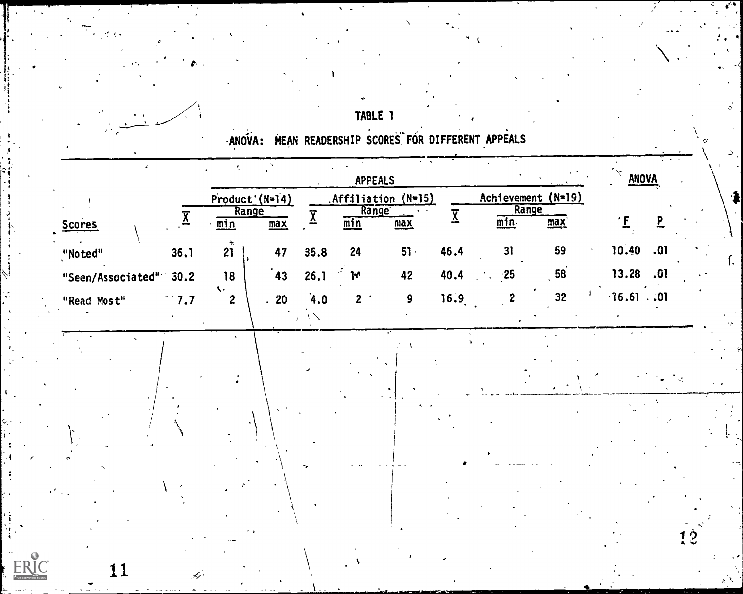|                      | ٠ |            | À |
|----------------------|---|------------|---|
| $\lambda$<br>×.<br>ш |   | المسمعيراء |   |

-<br>ANOVA: MEAN READERSHIP SCORES FOR DIFFERENT APPEALS

c\*

<sup>1</sup> TABLE 1

|                   |                   |                                  |                   |                   |                | <b>APPEALS</b>                       |                            |            |                                    | <b>ANOVA</b> |     |  |
|-------------------|-------------------|----------------------------------|-------------------|-------------------|----------------|--------------------------------------|----------------------------|------------|------------------------------------|--------------|-----|--|
| <b>Scores</b>     |                   | $Product'(N=14)$<br>Range<br>min | $\frac{max}{max}$ | $\overline{\chi}$ | min            | Affiliation (N=15)<br>Range<br>$max$ | $\underline{\overline{X}}$ | min        | Achievement (N=19)<br>Range<br>max |              |     |  |
| "Noted"           | 36.1              | 争<br>21                          | 47                | 35.8              | 24             | $51 -$                               | 46.4                       | 31         | 59                                 | 10.40        | .01 |  |
| "Seen/Associated" | 30.2              | 18                               | $^{\circ}43$      | 26.1              | ŀ۴             | 42                                   | 40.4                       | $\cdot$ 25 | 58                                 | 13.28        | .01 |  |
| "Read Most"       | $\rightarrow$ 7.7 | $\mathbf{V}$<br>$\overline{c}$   | .20               | 4.0               | 2 <sup>1</sup> | $\boldsymbol{9}$                     | 16.9                       | 2          | 32                                 | $16.61$ . 01 |     |  |
|                   |                   | $\mathbf{v}$                     |                   |                   |                |                                      |                            |            |                                    |              |     |  |
|                   |                   |                                  |                   |                   |                |                                      |                            |            |                                    |              |     |  |
|                   |                   |                                  |                   |                   |                |                                      |                            |            |                                    |              |     |  |
|                   |                   |                                  |                   |                   |                |                                      |                            |            |                                    |              |     |  |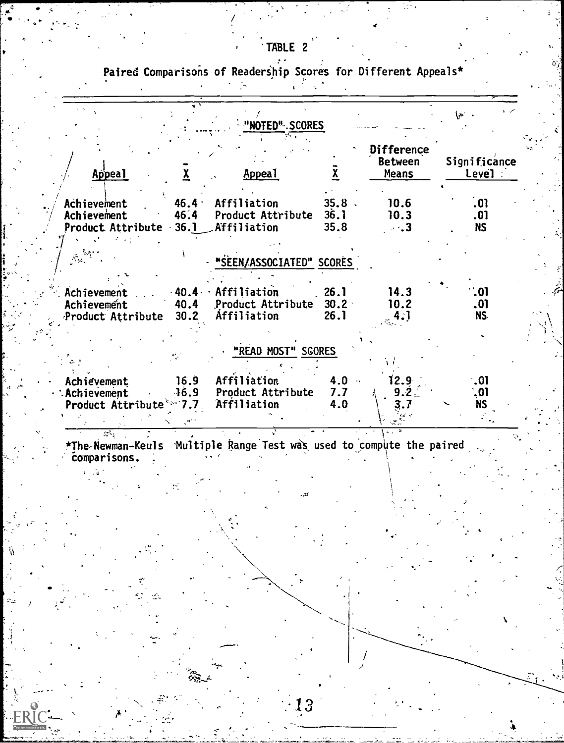TABLE 2

Paired Comparisons of Readership Scores for Different Appeals\*

|                                                                  |                      | - "NOTED" SCORES                                          |                          |                                                     | $\mathcal{L}_{\mathbf{p}^{\prime}}$  |
|------------------------------------------------------------------|----------------------|-----------------------------------------------------------|--------------------------|-----------------------------------------------------|--------------------------------------|
| <b>Appeal</b>                                                    |                      | <b>Appeal</b>                                             |                          | <b>Difference</b><br><b>Between</b><br><b>Means</b> | Significance<br>Level:               |
| Achievement<br>Achievement<br>Product Attribute 36.1 Affiliation | $46.4 \cdot$<br>46.4 | Affiliation<br>Product Attribute                          | $35.8$ .<br>36.1<br>35.8 | 10.6<br>10.3<br>$\cdots$ 3                          | $\overline{.}01$<br>.01<br><b>NS</b> |
| $\mathcal{N}_{\text{tot}}$ and                                   |                      | 'SEEN/ASSOCIATED" SCORES                                  |                          |                                                     |                                      |
| Achievement<br>Achievement<br>Product Attribute                  | 40.4<br>30.2         | $-40.4 - Affiliation$<br>Product Attribute<br>Affiliation | 26.1<br>$30.2 -$<br>26.1 | 14.3<br>10.2<br>4.1                                 | $\cdot$ 01<br>.01<br>NS.             |
|                                                                  |                      | "READ MOST" SGORES                                        |                          |                                                     |                                      |
| Achievement<br>: Achievement<br>Product Attribute 2017.7         | 16.9<br>$-16.9$      | Affiliation<br>Product Attribute<br>Affiliation           | $4.0 -$<br>7.7<br>4.0    | 12.9<br>$9.2$ .                                     | .01<br>$\cdot$ 01<br><b>NS</b>       |

\*The Newman-Keuls Multiple Range Test was used to compute the paired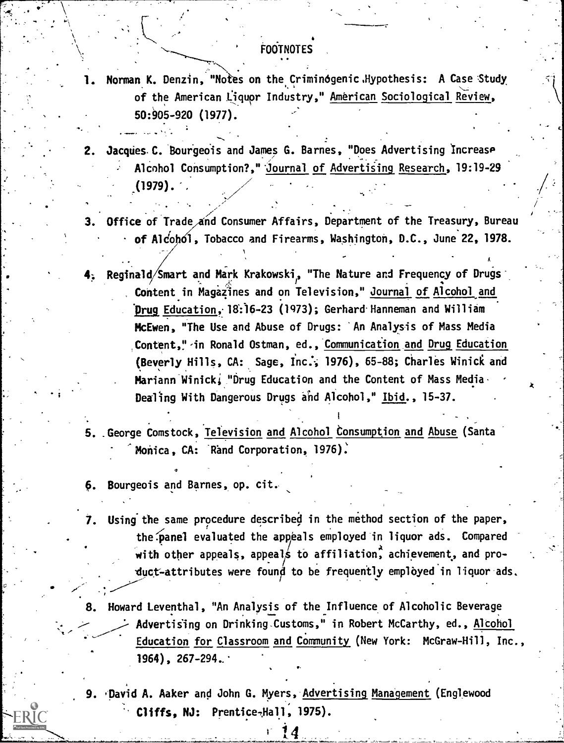# FOOTNOTES

- Norman K. Denzin, "Notes on the Criminogenic Hypothesis: A Case Study of the American Liquor Industry," American Sociological Review, 50:905-920 (1977).
- Jacques C. Bourgeois and James G. Barnes, "Does Advertising Increase Alcohol Consumption?," 'Journal of Advertising Research, 19:19-29  $(1979)$ .
- 3. Office of Trade and Consumer Affairs, Department of the Treasury, Bureau of Alcohol, Tobacco and Firearms, Washington, D.C., June 22, 1978.

/  $\mathcal{L} = \mathcal{L} \mathcal{L}$ 

- Reginald/Smart and Mark Krakowski, "The Nature and Frequency of Drugs--.:- , . , Content in Magazines and on Television," Journal of Alcohol and 'Drug Education, 18:16-23 (1973); Gerhard'Hanneman and William McEwen, "The Use and Abuse of Drugs: 'An Analysis of Mass Media ,Content,!'-in Ronald Ostman, ed., Communication and Drug Education (Beverly Hills, CA: Sage, Inc., 1976), 65-88; Charles Winick and Mariann Winick, "Drug Education and the Content of Mass Media. Dealing With Dangerous Drugs and Alcohol," Ibid., 15-37.
- 5. \_George Comstock, Television and Alcohol Consumption and Abuse (Santa 'Monica, CA: 'Rand Corporation, 1976).

6. Bourgeois and Barnes, op. cit.

 $t \in \mathbb{R}$  . In the set of  $\mathbb{R}$ 

 $\sum_{i=1}^n \alpha_i = \sum_{i=1}^n \alpha_i$ 

 $\mathcal{L} = \mathcal{L} \times \mathcal{L}$ 

- 7. Using the same procedure described in the method section of the paper, the.panel evaluated the appeals employed in liquor ads. Compared with other appeals, appeals to affiliation, achievement, and pro-'duct-attributes were found to be frequently employed in liquor ads.
- 8. Howard Leventhal, "An Analysis of the Influence of Alcoholic Beverage Advertising on Drinking-Customs," in Robert McCarthy, ed., Alcohol Education for Classroom and Community (New York: McGraw-Hill, Inc., 1964), 267-294..

9. David A. Aaker and John G. Myers, Advertising Management (Englewood  $Cliffs. NJ: Prentice-Hall, 1975).$